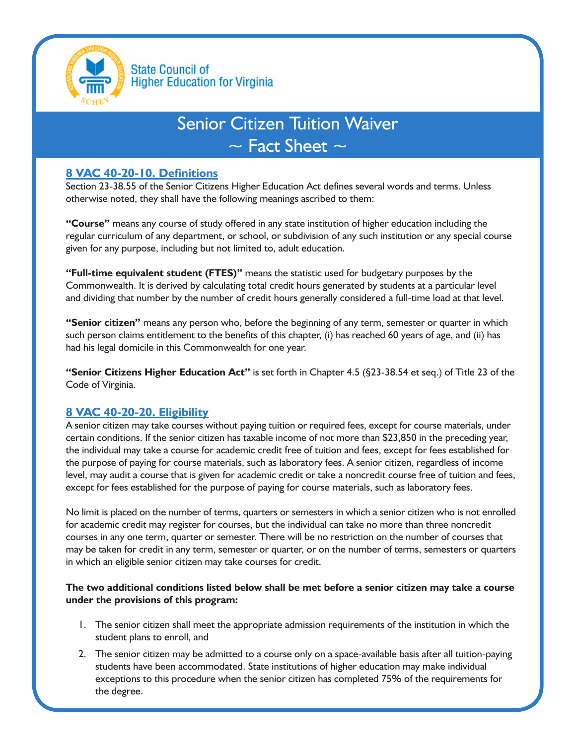

# Senior Citizen Tuition Waiver  $\sim$  Fact Sheet  $\sim$

# **8 VAC 40-20-10. Definitions**

Section 23-38.55 of the Senior Citizens Higher Education Act defines several words and terms. Unless otherwise noted, they shall have the following meanings ascribed to them:

**"Course"** means any course of study offered in any state institution of higher education including the regular curriculum of any department, or school, or subdivision of any such institution or any special course given for any purpose, including but not limited to, adult education.

**"Full-time equivalent student (FTES)"** means the statistic used for budgetary purposes by the Commonwealth. It is derived by calculating total credit hours generated by students at a particular level and dividing that number by the number of credit hours generally considered a full-time load at that level.

**"Senior citizen"** means any person who, before the beginning of any term, semester or quarter in which such person claims entitlement to the benefits of this chapter, (i) has reached 60 years of age, and (ii) has had his legal domicile in this Commonwealth for one year.

**"Senior Citizens Higher Education Act"** is set forth in Chapter 4.5 (§23-38.54 et seq.) of Title 23 of the Code of Virginia.

# **8 VAC 40-20-20. Eligibility**

A senior citizen may take courses without paying tuition or required fees, except for course materials, under certain conditions. If the senior citizen has taxable income of not more than \$23,850 in the preceding year, the individual may take a course for academic credit free of tuition and fees, except for fees established for the purpose of paying for course materials, such as laboratory fees. A senior citizen, regardless of income level, may audit a course that is given for academic credit or take a noncredit course free of tuition and fees, except for fees established for the purpose of paying for course materials, such as laboratory fees.

No limit is placed on the number of terms, quarters or semesters in which a senior citizen who is not enrolled for academic credit may register for courses, but the individual can take no more than three noncredit courses in any one term, quarter or semester. There will be no restriction on the number of courses that may be taken for credit in any term, semester or quarter, or on the number of terms, semesters or quarters in which an eligible senior citizen may take courses for credit.

#### **The two additional conditions listed below shall be met before a senior citizen may take a course under the provisions of this program:**

- 1. The senior citizen shall meet the appropriate admission requirements of the institution in which the student plans to enroll, and
- 2. The senior citizen may be admitted to a course only on a space-available basis after all tuition-paying students have been accommodated. State institutions of higher education may make individual exceptions to this procedure when the senior citizen has completed 75% of the requirements for the degree.